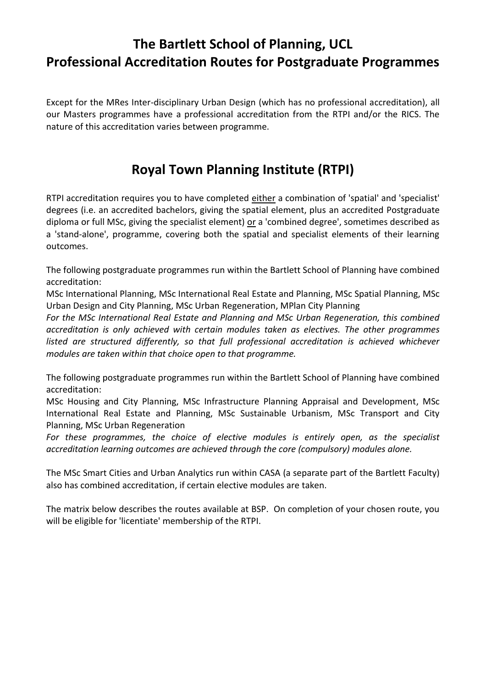## **The Bartlett School of Planning, UCL Professional Accreditation Routes for Postgraduate Programmes**

Except for the MRes Inter-disciplinary Urban Design (which has no professional accreditation), all our Masters programmes have a professional accreditation from the RTPI and/or the RICS. The nature of this accreditation varies between programme.

## **Royal Town Planning Institute (RTPI)**

RTPI accreditation requires you to have completed either a combination of 'spatial' and 'specialist' degrees (i.e. an accredited bachelors, giving the spatial element, plus an accredited Postgraduate diploma or full MSc, giving the specialist element) or a 'combined degree', sometimes described as a 'stand-alone', programme, covering both the spatial and specialist elements of their learning outcomes.

The following postgraduate programmes run within the Bartlett School of Planning have combined accreditation:

MSc International Planning, MSc International Real Estate and Planning, MSc Spatial Planning, MSc Urban Design and City Planning, MSc Urban Regeneration, MPlan City Planning

*For the MSc International Real Estate and Planning and MSc Urban Regeneration, this combined accreditation is only achieved with certain modules taken as electives. The other programmes listed are structured differently, so that full professional accreditation is achieved whichever modules are taken within that choice open to that programme.*

The following postgraduate programmes run within the Bartlett School of Planning have combined accreditation:

MSc Housing and City Planning, MSc Infrastructure Planning Appraisal and Development, MSc International Real Estate and Planning, MSc Sustainable Urbanism, MSc Transport and City Planning, MSc Urban Regeneration

*For these programmes, the choice of elective modules is entirely open, as the specialist accreditation learning outcomes are achieved through the core (compulsory) modules alone.*

The MSc Smart Cities and Urban Analytics run within CASA (a separate part of the Bartlett Faculty) also has combined accreditation, if certain elective modules are taken.

The matrix below describes the routes available at BSP. On completion of your chosen route, you will be eligible for 'licentiate' membership of the RTPI.